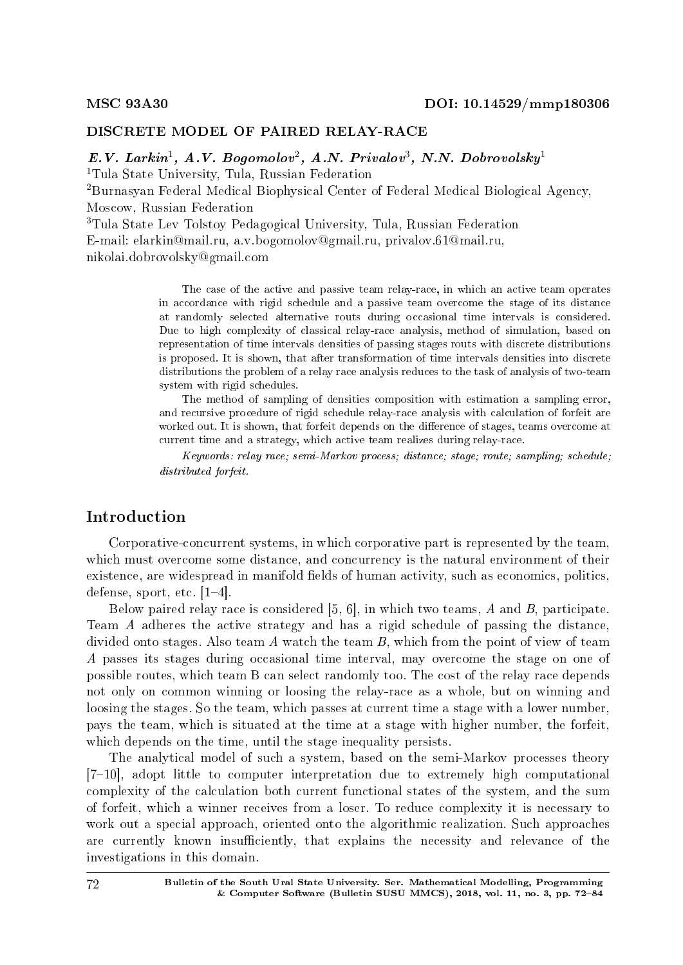## DISCRETE MODEL OF PAIRED RELAY-RACE

 $E.V.$  Larkin<sup>1</sup>, A.V. Bogomolov<sup>2</sup>, A.N. Privalov<sup>3</sup>, N.N. Dobrovolsky<sup>1</sup> <sup>1</sup>Tula State University, Tula, Russian Federation

<sup>2</sup>Burnasyan Federal Medical Biophysical Center of Federal Medical Biological Agency, Moscow, Russian Federation

<sup>3</sup>Tula State Lev Tolstoy Pedagogical University, Tula, Russian Federation

E-mail: elarkin@mail.ru, a.v.bogomolov@gmail.ru, privalov.61@mail.ru,

nikolai.dobrovolsky@gmail.com

The case of the active and passive team relay-race, in which an active team operates in accordance with rigid schedule and a passive team overcome the stage of its distance at randomly selected alternative routs during occasional time intervals is considered. Due to high complexity of classical relay-race analysis, method of simulation, based on representation of time intervals densities of passing stages routs with discrete distributions is proposed. It is shown, that after transformation of time intervals densities into discrete distributions the problem of a relay race analysis reduces to the task of analysis of two-team system with rigid schedules.

The method of sampling of densities composition with estimation a sampling error, and recursive procedure of rigid schedule relay-race analysis with calculation of forfeit are worked out. It is shown, that forfeit depends on the difference of stages, teams overcome at current time and a strategy, which active team realizes during relay-race.

Keywords: relay race; semi-Markov process; distance; stage; route; sampling; schedule; distributed forfeit.

## Introduction

Corporative-concurrent systems, in which corporative part is represented by the team, which must overcome some distance, and concurrency is the natural environment of their existence, are widespread in manifold fields of human activity, such as economics, politics, defense, sport, etc.  $[1-4]$ .

Below paired relay race is considered [5, 6], in which two teams, A and B, participate. Team A adheres the active strategy and has a rigid schedule of passing the distance, divided onto stages. Also team A watch the team B, which from the point of view of team A passes its stages during occasional time interval, may overcome the stage on one of possible routes, which team B can select randomly too. The cost of the relay race depends not only on common winning or loosing the relay-race as a whole, but on winning and loosing the stages. So the team, which passes at current time a stage with a lower number, pays the team, which is situated at the time at a stage with higher number, the forfeit, which depends on the time, until the stage inequality persists.

The analytical model of such a system, based on the semi-Markov processes theory  $[7-10]$ , adopt little to computer interpretation due to extremely high computational complexity of the calculation both current functional states of the system, and the sum of forfeit, which a winner receives from a loser. To reduce complexity it is necessary to work out a special approach, oriented onto the algorithmic realization. Such approaches are currently known insufficiently, that explains the necessity and relevance of the investigations in this domain.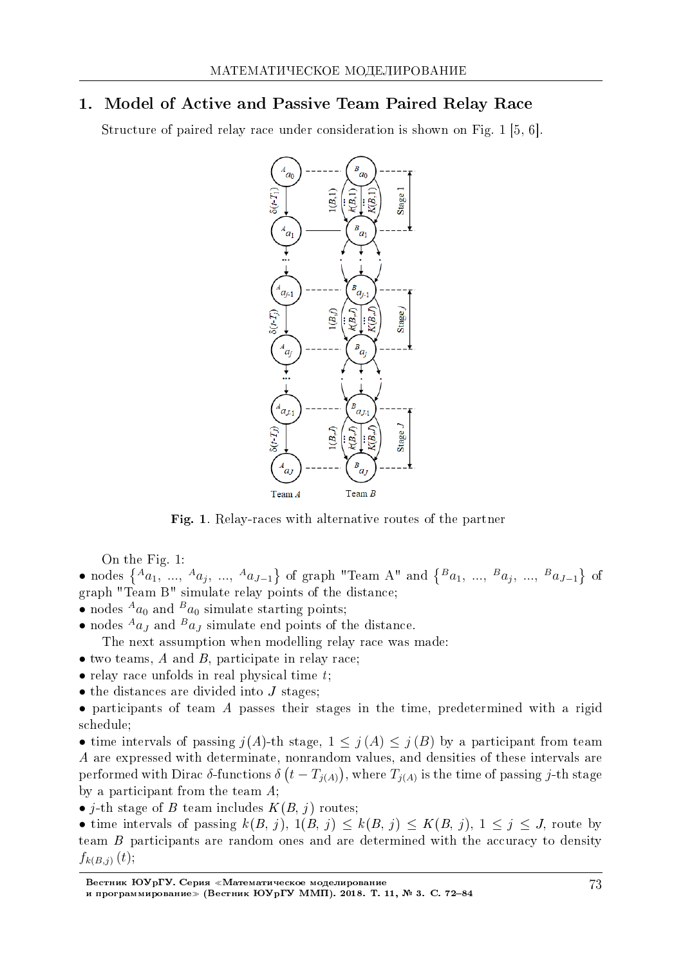# 1. Model of Active and Passive Team Paired Relay Race

Structure of paired relay race under consideration is shown on Fig. 1 [5, 6].



Fig. 1. Relay-races with alternative routes of the partner

On the Fig. 1:

• nodes  $\{A_{a_1}, \ldots, A_{a_j}, \ldots, A_{a_{J-1}}\}$  of graph "Team A" and  $\{B_{a_1}, \ldots, B_{a_j}, \ldots, B_{a_{J-1}}\}$  of graph "Team B" simulate relay points of the distance;

- nodes  $A_{a_0}$  and  $B_{a_0}$  simulate starting points;
- nodes  $^{A}a_{J}$  and  $^{B}a_{J}$  simulate end points of the distance.
- The next assumption when modelling relay race was made:
- two teams, A and B, participate in relay race:
- relay race unfolds in real physical time t;
- the distances are divided into *J* stages;

• participants of team A passes their stages in the time, predetermined with a rigid schedule;

• time intervals of passing  $j(A)$ -th stage,  $1 \leq j(A) \leq j(B)$  by a participant from team A are expressed with determinate, nonrandom values, and densities of these intervals are performed with Dirac  $\delta$ -functions  $\delta(t - T_{j(A)})$ , where  $T_{j(A)}$  is the time of passing *j*-th stage by a participant from the team A;

• *j*-th stage of B team includes  $K(B, j)$  routes;

• time intervals of passing  $k(B, j)$ ,  $1(B, j) \leq k(B, j) \leq K(B, j)$ ,  $1 \leq j \leq J$ , route by team B participants are random ones and are determined with the accuracy to density  $f_{k(B,j)}(t);$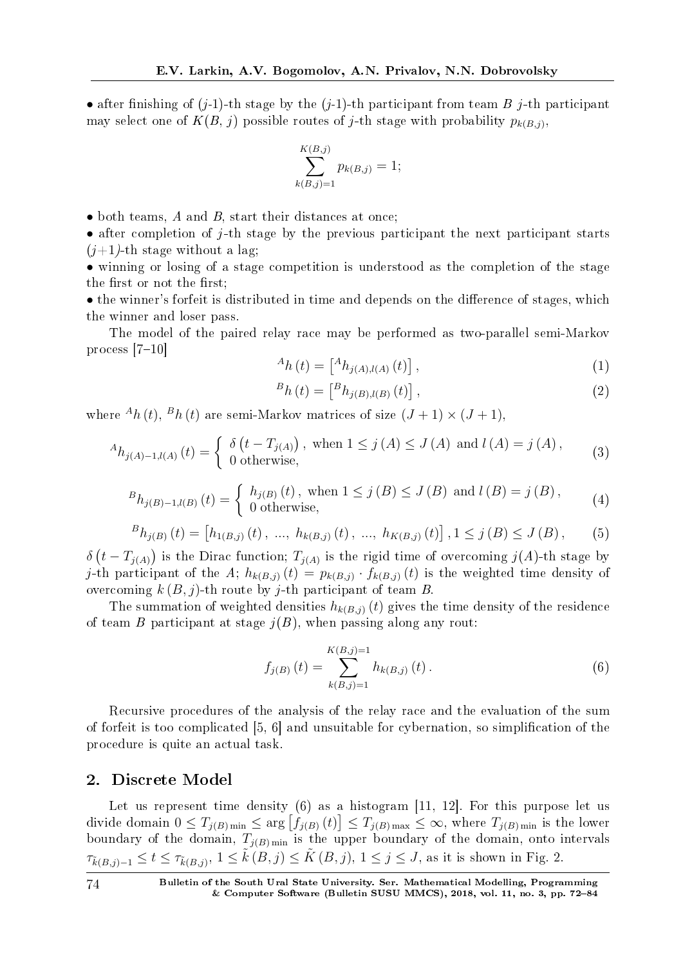• after finishing of  $(j-1)$ -th stage by the  $(j-1)$ -th participant from team B j-th participant may select one of  $K(B, j)$  possible routes of j-th stage with probability  $p_{k(B,j)}$ ,

$$
\sum_{k(B,j)=1}^{K(B,j)} p_{k(B,j)} = 1;
$$

• both teams, A and B, start their distances at once;

• after completion of *j*-th stage by the previous participant the next participant starts  $(i+1)$ -th stage without a lag:

• winning or losing of a stage competition is understood as the completion of the stage the first or not the first;

• the winner's forfeit is distributed in time and depends on the difference of stages, which the winner and loser pass.

The model of the paired relay race may be performed as two-parallel semi-Markov process  $[7-10]$ 

$$
{}^{A}h(t) = \left[ {}^{A}h_{j(A),l(A)}(t) \right], \tag{1}
$$

$$
{}^{B}h(t) = \left[ {}^{B}h_{j(B),l(B)}(t) \right], \tag{2}
$$

where  $^{A}h(t)$ ,  $^{B}h(t)$  are semi-Markov matrices of size  $(J+1) \times (J+1)$ ,

$$
{}^{A}h_{j(A)-1,l(A)}(t) = \begin{cases} \delta(t - T_{j(A)}) \text{, when } 1 \le j(A) \le J(A) \text{ and } l(A) = j(A), \\ 0 \text{ otherwise,} \end{cases}
$$
(3)

$$
{}^{B}h_{j(B)-1,l(B)}(t) = \begin{cases} h_{j(B)}(t), & \text{when } 1 \le j(B) \le J(B) \text{ and } l(B) = j(B), \\ 0 & \text{otherwise,} \end{cases}
$$
 (4)

$$
{}^{B}h_{j(B)}(t) = [h_{1(B,j)}(t), ..., h_{k(B,j)}(t), ..., h_{K(B,j)}(t)], 1 \leq j(B) \leq J(B), \qquad (5)
$$

 $\delta(t - T_{j(A)})$  is the Dirac function;  $T_{j(A)}$  is the rigid time of overcoming  $j(A)$ -th stage by j-th participant of the A;  $h_{k(B,j)}(t) = p_{k(B,j)} \cdot f_{k(B,j)}(t)$  is the weighted time density of overcoming  $k(B, j)$ -th route by j-th participant of team B.

The summation of weighted densities  $h_{k(B,j)}(t)$  gives the time density of the residence of team B participant at stage  $j(B)$ , when passing along any rout:

$$
f_{j(B)}(t) = \sum_{k(B,j)=1}^{K(B,j)=1} h_{k(B,j)}(t).
$$
 (6)

Recursive procedures of the analysis of the relay race and the evaluation of the sum of forfeit is too complicated [5, 6] and unsuitable for cybernation, so simplification of the procedure is quite an actual task.

### 2. Discrete Model

Let us represent time density  $(6)$  as a histogram [11, 12]. For this purpose let us divide domain  $0 \le T_{j(B) \text{ min}} \le \arg \left[ f_{j(B)}(t) \right] \le T_{j(B) \text{ max}} \le \infty$ , where  $T_{j(B) \text{ min}}$  is the lower boundary of the domain,  $T_{j(B) \text{min}}$  is the upper boundary of the domain, onto intervals  $\tau_{\tilde{k}(B,j)-1} \leq t \leq \tau_{\tilde{k}(B,j)}, 1 \leq \tilde{k}(B,j) \leq \tilde{K}(B,j), 1 \leq j \leq J$ , as it is shown in Fig. 2.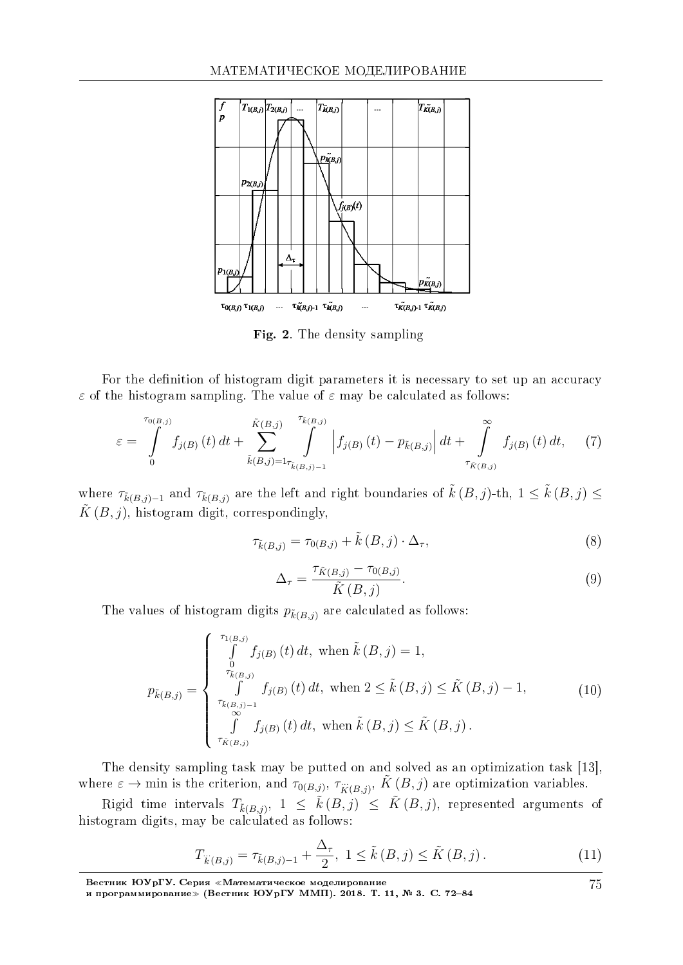

Fig. 2. The density sampling

For the definition of histogram digit parameters it is necessary to set up an accuracy *ε* of the histogram sampling. The value of  $\varepsilon$  may be calculated as follows:

$$
\varepsilon = \int_{0}^{\tau_{0(B,j)}} f_{j(B)}(t) dt + \sum_{\tilde{k}(B,j)=1}^{\tilde{K}(B,j)} \int_{\tilde{k}(B,j)-1}^{\tau_{\tilde{k}(B,j)}} \left| f_{j(B)}(t) - p_{\tilde{k}(B,j)} \right| dt + \int_{\tau_{\tilde{K}(B,j)}}^{\infty} f_{j(B)}(t) dt, \quad (7)
$$

where  $\tau_{\tilde{k}(B,j)-1}$  and  $\tau_{\tilde{k}(B,j)}$  are the left and right boundaries of  $\tilde{k}(B,j)$ -th,  $1 \leq \tilde{k}(B,j) \leq$  $\tilde{K}(B, j)$ , histogram digit, correspondingly,

$$
\tau_{\tilde{k}(B,j)} = \tau_{0(B,j)} + \tilde{k}(B,j) \cdot \Delta_{\tau},\tag{8}
$$

$$
\Delta_{\tau} = \frac{\tau_{\tilde{K}(B,j)} - \tau_{0(B,j)}}{\tilde{K}(B,j)}.
$$
\n(9)

The values of histogram digits  $p_{\tilde{k}(B,j)}$  are calculated as follows:

$$
p_{\tilde{k}(B,j)} = \begin{cases} \int_{0}^{\tau_{1(B,j)}} f_{j(B)}(t) dt, \text{ when } \tilde{k}(B,j) = 1, \\ \int_{\tilde{\tau}_{\tilde{k}(B,j)}}^{\tilde{\tau}_{\tilde{k}(B,j)}} f_{j(B)}(t) dt, \text{ when } 2 \leq \tilde{k}(B,j) \leq \tilde{K}(B,j) - 1, \\ \int_{0}^{\tilde{\tau}_{\tilde{k}(B,j)-1}} f_{j(B)}(t) dt, \text{ when } \tilde{k}(B,j) \leq \tilde{K}(B,j). \end{cases}
$$
(10)

The density sampling task may be putted on and solved as an optimization task [13], where  $\varepsilon \to \text{min}$  is the criterion, and  $\tau_{0(B,j)}, \tau_{\tilde{K}(B,j)}, \tilde{K}(B,j)$  are optimization variables.

 $\text{Rigid time intervals}$   $T_{\tilde{k}(B,j)},$   $1 \leq \tilde{k}(B,j) \leq \tilde{K}(B,j),$  represented arguments of histogram digits, may be calculated as follows:

$$
T_{\ddot{k}(B,j)} = \tau_{\tilde{k}(B,j)-1} + \frac{\Delta_{\tau}}{2}, \ 1 \le \tilde{k}(B,j) \le \tilde{K}(B,j). \tag{11}
$$

Вестник ЮУрГУ. Серия «Математическое моделирование и программирование≫ (Вестник ЮУрГУ ММП). 2018. Т. 11, № 3. C. 72–84 75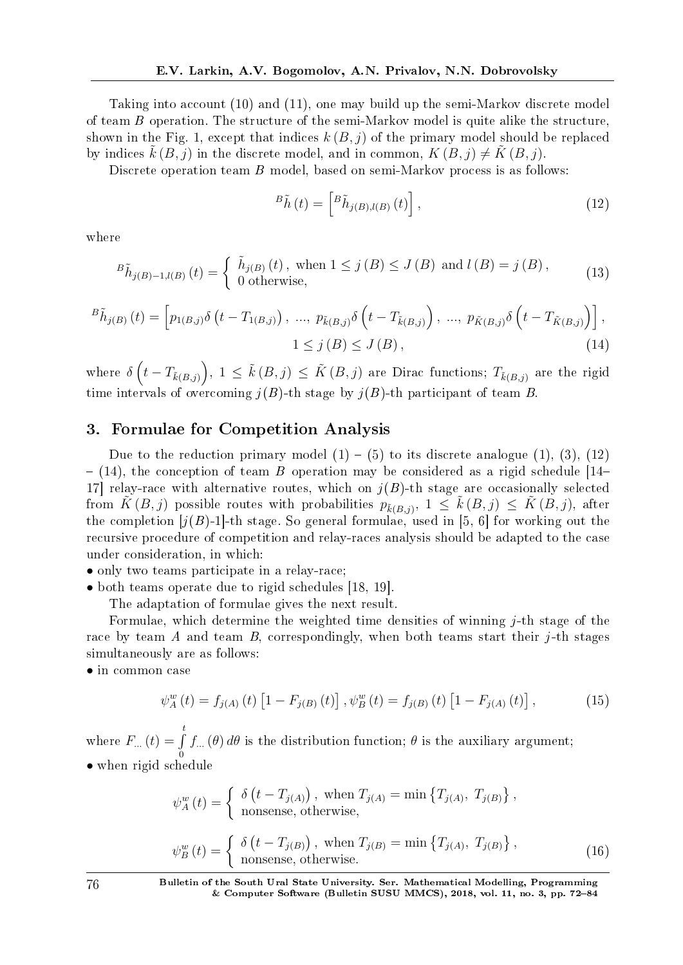Taking into account (10) and (11), one may build up the semi-Markov discrete model of team B operation. The structure of the semi-Markov model is quite alike the structure, shown in the Fig. 1, except that indices  $k(B, j)$  of the primary model should be replaced by indices  $k(B, j)$  in the discrete model, and in common,  $K(B, j) \neq K(B, j)$ .

Discrete operation team B model, based on semi-Markov process is as follows:

$$
{}^{B}\tilde{h}\left(t\right) = \left[{}^{B}\tilde{h}_{j\left(B\right),l\left(B\right)}\left(t\right)\right],\tag{12}
$$

where

$$
{}^{B}\tilde{h}_{j(B)-1,l(B)}(t) = \begin{cases} \tilde{h}_{j(B)}(t), & \text{when } 1 \le j(B) \le J(B) \text{ and } l(B) = j(B), \\ 0 & \text{otherwise,} \end{cases} \tag{13}
$$

$$
{}^{B}\tilde{h}_{j(B)}(t) = \left[ p_{1(B,j)}\delta\left(t - T_{1(B,j)}\right), \dots, p_{\tilde{k}(B,j)}\delta\left(t - T_{\tilde{k}(B,j)}\right), \dots, p_{\tilde{K}(B,j)}\delta\left(t - T_{\tilde{K}(B,j)}\right) \right],
$$
  
1 \le j (B) \le J (B), (14)

 $\mathbb{E}[\text{where } \delta\left(t - T_{\tilde{k}(B,j)}\right), 1 \leq \tilde{k}(B,j) \leq \tilde{K}(B,j) \text{ are Dirac functions}; T_{\tilde{k}(B,j)} \text{ are the rigid.}$ time intervals of overcoming  $j(B)$ -th stage by  $j(B)$ -th participant of team B.

## 3. Formulae for Competition Analysis

Due to the reduction primary model  $(1) - (5)$  to its discrete analogue  $(1)$ ,  $(3)$ ,  $(12)$  $-$  (14), the conception of team B operation may be considered as a rigid schedule [14– 17] relay-race with alternative routes, which on  $j(B)$ -th stage are occasionally selected from  $\tilde{K}(B,j)$  possible routes with probabilities  $p_{\tilde{k}(B,j)}, 1 \leq \tilde{k}(B,j) \leq \tilde{K}(B,j)$ , after the completion  $[j(B)-1]$ -th stage. So general formulae, used in [5, 6] for working out the recursive procedure of competition and relay-races analysis should be adapted to the case under consideration, in which:

- only two teams participate in a relay-race:
- both teams operate due to rigid schedules [18, 19].

The adaptation of formulae gives the next result.

Formulae, which determine the weighted time densities of winning  $j$ -th stage of the race by team A and team B, correspondingly, when both teams start their  $i$ -th stages simultaneously are as follows:

*•* in common case

$$
\psi_{A}^{w}(t) = f_{j(A)}(t) \left[ 1 - F_{j(B)}(t) \right], \psi_{B}^{w}(t) = f_{j(B)}(t) \left[ 1 - F_{j(A)}(t) \right], \tag{15}
$$

where  $F_{\ldots}(t) = \int_0^t$ 0  $f_{\cdot\cdot\cdot}(\theta) \, d\theta$  is the distribution function;  $\theta$  is the auxiliary argument; *•* when rigid schedule

$$
\psi_A^w(t) = \begin{cases} \delta(t - T_{j(A)}) \text{, when } T_{j(A)} = \min\left\{T_{j(A)}, T_{j(B)}\right\}, \\ \text{nonsense, otherwise,} \end{cases}
$$

$$
\psi_B^w(t) = \begin{cases} \delta(t - T_{j(B)}) \text{, when } T_{j(B)} = \min\left\{T_{j(A)}, T_{j(B)}\right\}, \\ \text{nonsense, otherwise.} \end{cases}
$$
(16)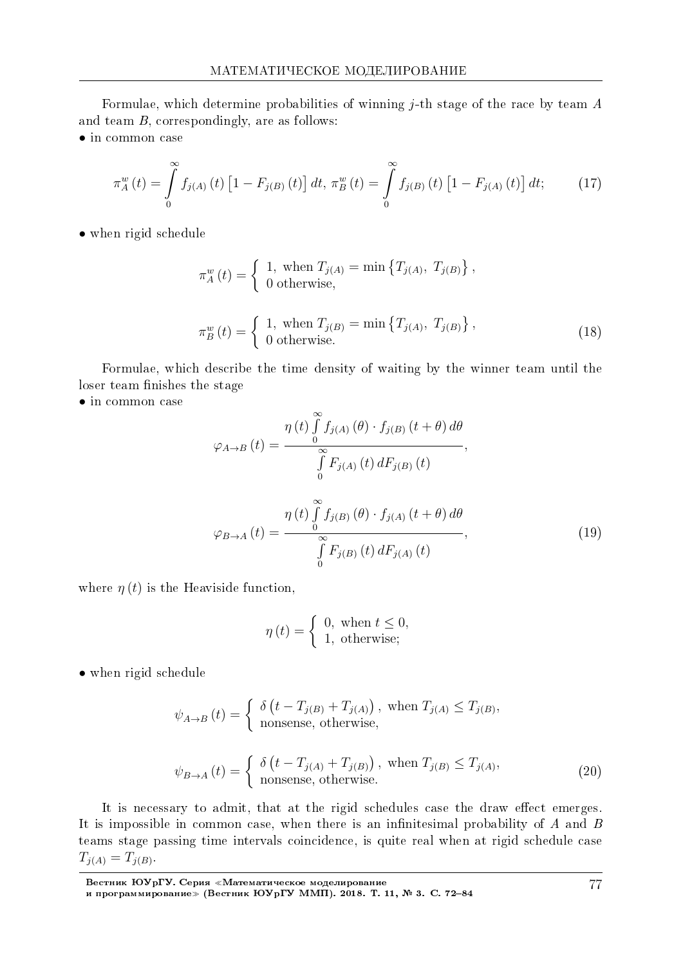Formulae, which determine probabilities of winning  $j$ -th stage of the race by team  $A$ and team B, correspondingly, are as follows:

*•* in common case

$$
\pi_A^w(t) = \int_0^\infty f_{j(A)}(t) \left[1 - F_{j(B)}(t)\right] dt, \ \pi_B^w(t) = \int_0^\infty f_{j(B)}(t) \left[1 - F_{j(A)}(t)\right] dt; \tag{17}
$$

• when rigid schedule

$$
\pi_A^w(t) = \begin{cases} 1, & \text{when } T_{j(A)} = \min \{ T_{j(A)}, \ T_{j(B)} \}, \\ 0 & \text{otherwise,} \end{cases}
$$
\n
$$
\pi_B^w(t) = \begin{cases} 1, & \text{when } T_{j(B)} = \min \{ T_{j(A)}, \ T_{j(B)} \}, \\ 0 & \text{otherwise.} \end{cases}
$$
\n(18)

Formulae, which describe the time density of waiting by the winner team until the loser team finishes the stage

*•* in common case

$$
\varphi_{A \to B}(t) = \frac{\eta(t) \int_{0}^{\infty} f_{j(A)}(\theta) \cdot f_{j(B)}(t + \theta) d\theta}{\int_{0}^{\infty} F_{j(A)}(t) dF_{j(B)}(t)},
$$

$$
\varphi_{B \to A}(t) = \frac{\eta(t) \int_{0}^{\infty} f_{j(B)}(\theta) \cdot f_{j(A)}(t + \theta) d\theta}{\int_{0}^{\infty} F_{j(B)}(t) dF_{j(A)}(t)},
$$
(19)

where  $\eta(t)$  is the Heaviside function,

$$
\eta(t) = \begin{cases} 0, \text{ when } t \le 0, \\ 1, \text{ otherwise;} \end{cases}
$$

*•* when rigid schedule

$$
\psi_{A \to B}(t) = \begin{cases} \delta(t - T_{j(B)} + T_{j(A)}) \text{, when } T_{j(A)} \le T_{j(B)},\\ \text{nonsense, otherwise,} \end{cases}
$$

$$
\psi_{B \to A}(t) = \begin{cases} \delta(t - T_{j(A)} + T_{j(B)}) \text{, when } T_{j(B)} \le T_{j(A)},\\ \text{nonsense, otherwise.} \end{cases}
$$
(20)

It is necessary to admit, that at the rigid schedules case the draw effect emerges. It is impossible in common case, when there is an infinitesimal probability of  $A$  and  $B$ teams stage passing time intervals coincidence, is quite real when at rigid schedule case  $T_{j(A)} = T_{j(B)}$ .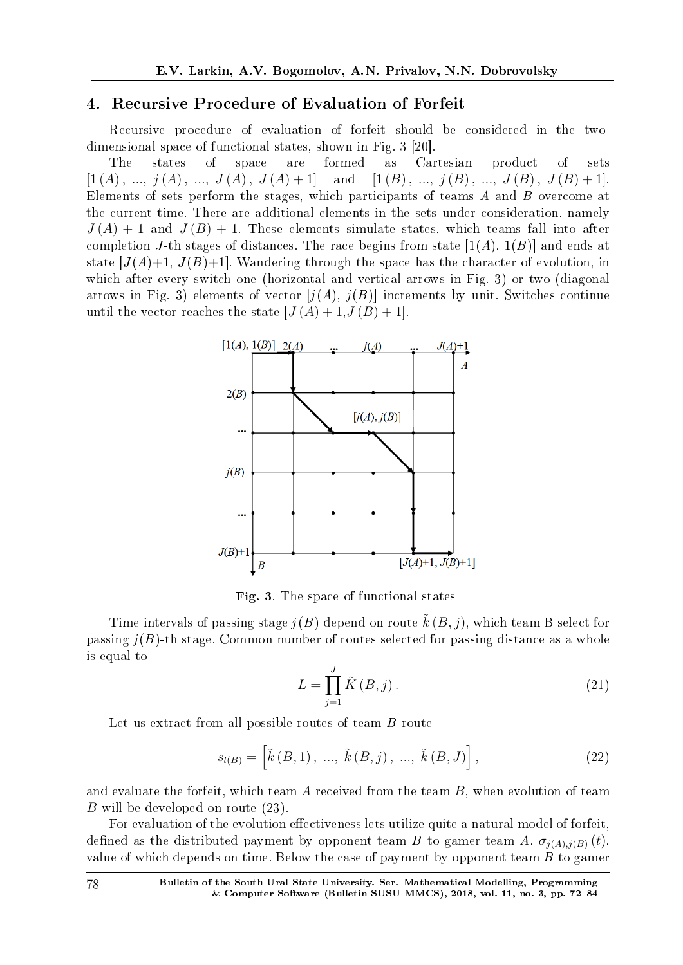## 4. Recursive Procedure of Evaluation of Forfeit

Recursive procedure of evaluation of forfeit should be considered in the twodimensional space of functional states, shown in Fig. 3 [20].

The states of space are formed as Cartesian product of sets  $[1 (A), ..., j (A), ..., J (A), J (A) + 1]$  and  $[1 (B), ..., j (B), ..., J (B), J (B) + 1]$ . Elements of sets perform the stages, which participants of teams A and B overcome at the current time. There are additional elements in the sets under consideration, namely  $J(A) + 1$  and  $J(B) + 1$ . These elements simulate states, which teams fall into after completion J-th stages of distances. The race begins from state  $[1(A), 1(B)]$  and ends at state  $[J(A)+1, J(B)+1]$ . Wandering through the space has the character of evolution, in which after every switch one (horizontal and vertical arrows in Fig. 3) or two (diagonal arrows in Fig. 3) elements of vector  $[j(A), j(B)]$  increments by unit. Switches continue until the vector reaches the state  $[J(A) + 1, J(B) + 1]$ .



Fig. 3. The space of functional states

Time intervals of passing stage  $i(B)$  depend on route  $\tilde{k}(B, i)$ , which team B select for passing  $j(B)$ -th stage. Common number of routes selected for passing distance as a whole is equal to

$$
L = \prod_{j=1}^{J} \tilde{K}(B, j).
$$
 (21)

Let us extract from all possible routes of team B route

$$
s_{l(B)} = \left[ \tilde{k}(B,1), \, \dots, \, \tilde{k}(B,j), \, \dots, \, \tilde{k}(B,J) \right],\tag{22}
$$

and evaluate the forfeit, which team A received from the team *B*, when evolution of team *B* will be developed on route (23).

For evaluation of the evolution effectiveness lets utilize quite a natural model of forfeit, defined as the distributed payment by opponent team B to gamer team A,  $\sigma_{i(A),i(B)}(t)$ , value of which depends on time. Below the case of payment by opponent team  $B$  to gamer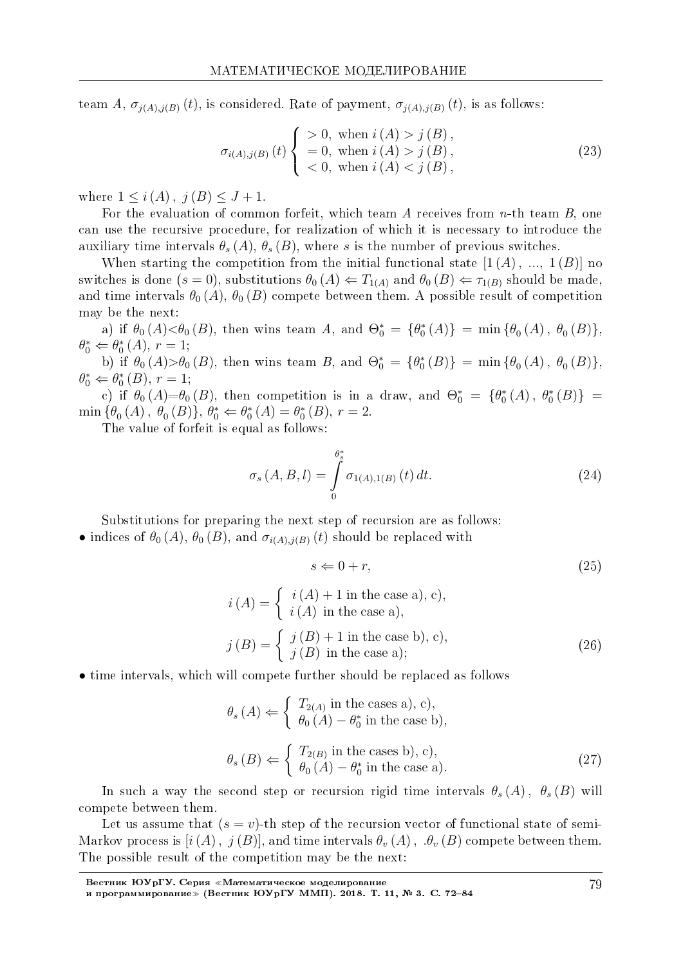team A,  $\sigma_{i(A),i(B)}(t)$ , is considered. Rate of payment,  $\sigma_{i(A),i(B)}(t)$ , is as follows:

$$
\sigma_{i(A),j(B)}(t) \begin{cases}\n>0, \text{ when } i(A) > j(B), \\
= 0, \text{ when } i(A) > j(B), \\
< 0, \text{ when } i(A) < j(B),\n\end{cases}
$$
\n(23)

where  $1 \leq i(A), j(B) \leq J+1$ .

For the evaluation of common forfeit, which team  $A$  receives from  $n$ -th team  $B$ , one can use the recursive procedure, for realization of which it is necessary to introduce the auxiliary time intervals  $\theta_s(A), \theta_s(B)$ , where s is the number of previous switches.

When starting the competition from the initial functional state  $[1(A), ..., 1(B)]$  no switches is done  $(s = 0)$ , substitutions  $\theta_0(A) \Leftarrow T_{1(A)}$  and  $\theta_0(B) \Leftarrow \tau_{1(B)}$  should be made. and time intervals  $\theta_0(A)$ ,  $\theta_0(B)$  compete between them. A possible result of competition may be the next:

a) if  $\theta_0(A) < \theta_0(B)$ , then wins team A, and  $\Theta_0^* = {\theta_0^*(A)} = \min{\{\theta_0(A), \theta_0(B)\}}$ ,  $\theta_0^* \Leftarrow \theta_0^* (A), r = 1;$ 

b) if  $\theta_0(A) > \theta_0(B)$ , then wins team B, and  $\Theta_0^* = {\theta_0^*(B)} = \min{\{\theta_0(A), \theta_0(B)\}}$ ,  $\theta_0^* \Leftarrow \theta_0^*(B), r = 1;$ 

c) if  $\theta_0(A)=\theta_0(B)$ , then competition is in a draw, and  $\Theta_0^* = {\theta_0^*(A), \theta_0^*(B)} =$  $\min \{\theta_0(A), \theta_0(B)\}, \theta_0^* \Leftarrow \theta_0^*(A) = \theta_0^*(B), r = 2.$ 

The value of forfeit is equal as follows:

$$
\sigma_s(A, B, l) = \int_{0}^{\theta_s^*} \sigma_{1(A), 1(B)}(t) dt.
$$
 (24)

Substitutions for preparing the next step of recursion are as follows:

• indices of  $\theta_0(A)$ ,  $\theta_0(B)$ , and  $\sigma_{i(A),j(B)}(t)$  should be replaced with

$$
s \Leftarrow 0 + r,\tag{25}
$$

$$
i(A) = \begin{cases} i(A) + 1 \text{ in the case a), c}, \\ i(A) \text{ in the case a}, \\ j(B) = \begin{cases} j(B) + 1 \text{ in the case b), c}, \\ j(B) \text{ in the case a}; \end{cases} \tag{26}
$$

• time intervals, which will compete further should be replaced as follows

$$
\theta_s(A) \Leftarrow \begin{cases} T_{2(A)} \text{ in the cases a), c}, \\ \theta_0(A) - \theta_0^* \text{ in the case b}, \\ \theta_s(B) \Leftarrow \begin{cases} T_{2(B)} \text{ in the cases b), c}, \\ \theta_0(A) - \theta_0^* \text{ in the case a}. \end{cases} \tag{27}
$$

In such a way the second step or recursion rigid time intervals  $\theta_s(A)$ ,  $\theta_s(B)$  will compete between them.

Let us assume that  $(s = v)$ -th step of the recursion vector of functional state of semi-Markov process is  $[i(A), j(B)]$ , and time intervals  $\theta_{v}(A), \theta_{v}(B)$  compete between them. The possible result of the competition may be the next: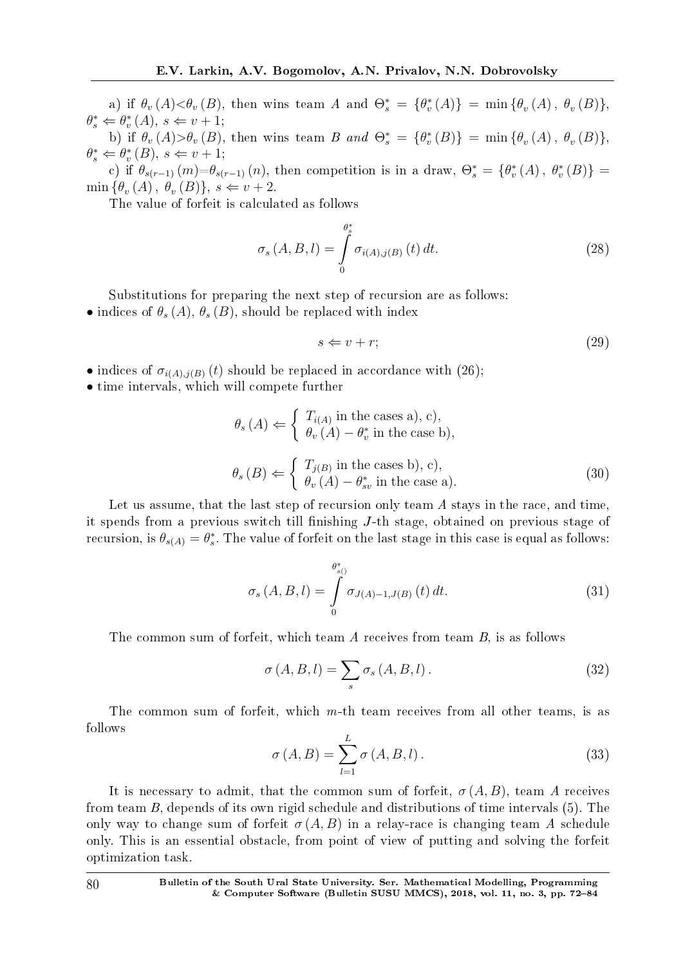a) if  $\theta_v(A) < \theta_v(B)$ , then wins team A and  $\Theta_s^* = \{\theta_v^*(A)\} = \min{\{\theta_v(A), \theta_v(B)\}},$  $\theta_s^* \Leftarrow \theta_v^*(A), s \Leftarrow v + 1;$ 

b) if  $\theta_v(A) > \theta_v(B)$ , then wins team B and  $\Theta_s^* = {\theta_v^*(B)} = \min{\theta_v(A), \theta_v(B)},$  $\theta_s^* \Leftarrow \theta_v^*(B), s \Leftarrow v + 1;$ 

c) if  $\theta_{s(r-1)}(m) = \theta_{s(r-1)}(n)$ , then competition is in a draw,  $\Theta_s^* = \{\theta_v^*(A), \theta_v^*(B)\} =$  $\min \{\theta_v(A), \theta_v(B)\}, s \Leftarrow v + 2.$ 

The value of forfeit is calculated as follows

$$
\sigma_s(A, B, l) = \int\limits_0^{\theta_s^*} \sigma_{i(A), j(B)}(t) dt.
$$
\n(28)

Substitutions for preparing the next step of recursion are as follows:

• indices of  $\theta_s(A)$ ,  $\theta_s(B)$ , should be replaced with index

$$
s \Leftarrow v + r; \tag{29}
$$

- indices of  $\sigma_{i(A),i(B)}(t)$  should be replaced in accordance with (26);
- *•* time intervals, which will compete further

$$
\theta_s(A) \Leftarrow \begin{cases} T_{i(A)} \text{ in the cases a), c}, \\ \theta_v(A) - \theta_v^* \text{ in the case b}, \\ \theta_s(B) \Leftarrow \begin{cases} T_{j(B)} \text{ in the cases b), c}, \\ \theta_v(A) - \theta_{sv}^* \text{ in the case a}. \end{cases} \tag{30}
$$

Let us assume, that the last step of recursion only team A stays in the race, and time, it spends from a previous switch till finishing  $J$ -th stage, obtained on previous stage of recursion, is  $\theta_{s(A)} = \theta_s^*$ . The value of forfeit on the last stage in this case is equal as follows:

$$
\sigma_s(A, B, l) = \int_{0}^{\theta_{s_0}^*} \sigma_{J(A)-1, J(B)}(t) dt.
$$
\n(31)

The common sum of forfeit, which team A receives from team B, is as follows

$$
\sigma(A, B, l) = \sum_{s} \sigma_{s}(A, B, l).
$$
\n(32)

The common sum of forfeit, which m-th team receives from all other teams, is as follows

$$
\sigma(A, B) = \sum_{l=1}^{L} \sigma(A, B, l).
$$
\n(33)

It is necessary to admit, that the common sum of forfeit,  $\sigma(A, B)$ , team A receives from team B, depends of its own rigid schedule and distributions of time intervals (5). The only way to change sum of forfeit  $\sigma(A, B)$  in a relay-race is changing team A schedule only. This is an essential obstacle, from point of view of putting and solving the forfeit optimization task.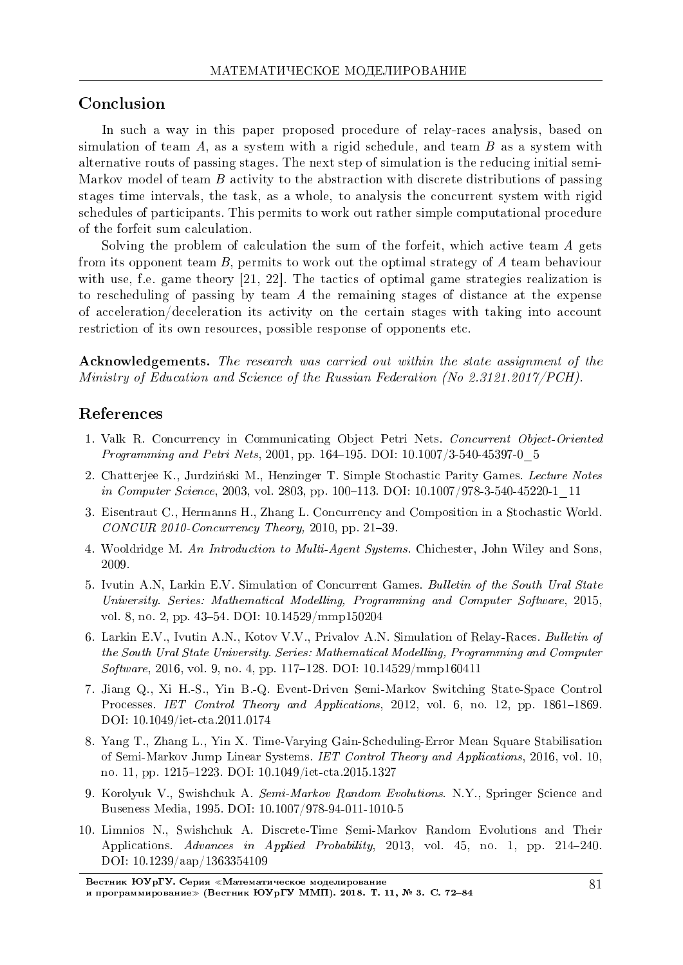## Conclusion

In such a way in this paper proposed procedure of relay-races analysis, based on simulation of team  $A$ , as a system with a rigid schedule, and team  $B$  as a system with alternative routs of passing stages. The next step of simulation is the reducing initial semi-Markov model of team B activity to the abstraction with discrete distributions of passing stages time intervals, the task, as a whole, to analysis the concurrent system with rigid schedules of participants. This permits to work out rather simple computational procedure of the forfeit sum calculation.

Solving the problem of calculation the sum of the forfeit, which active team A gets from its opponent team B, permits to work out the optimal strategy of A team behaviour with use, f.e. game theory [21, 22]. The tactics of optimal game strategies realization is to rescheduling of passing by team A the remaining stages of distance at the expense of acceleration/deceleration its activity on the certain stages with taking into account restriction of its own resources, possible response of opponents etc.

Acknowledgements. The research was carried out within the state assignment of the Ministry of Education and Science of the Russian Federation (No 2.3121.2017/PCH).

## References

- 1. Valk R. Concurrency in Communicating Object Petri Nets. Concurrent Object-Oriented *Programming and Petri Nets*, 2001, pp. 164–195. DOI:  $10.1007/3-540-45397-0=5$
- 2. Chatterjee K., Jurdzinski M., Henzinger T. Simple Stochastic Parity Games. Lecture Notes in Computer Science, 2003, vol. 2803, pp. 100-113. DOI: 10.1007/978-3-540-45220-1\_11
- 3. Eisentraut C., Hermanns H., Zhang L. Concurrency and Composition in a Stochastic World.  $CONCUR 2010-Concurrency Theory$ , 2010, pp. 21-39.
- 4. Wooldridge M. An Introduction to Multi-Agent Systems. Chichester, John Wiley and Sons, 2009.
- 5. Ivutin A.N, Larkin E.V. Simulation of Concurrent Games. Bulletin of the South Ural State University. Series: Mathematical Modelling, Programming and Computer Software, 2015, vol. 8, no. 2, pp. 43–54. DOI: 10.14529/mmp150204
- 6. Larkin E.V., Ivutin A.N., Kotov V.V., Privalov A.N. Simulation of Relay-Races. Bulletin of the South Ural State University. Series: Mathematical Modelling, Programming and Computer  $Software, 2016, vol. 9, no. 4, pp. 117–128. DOI: 10.14529/mmp160411$
- 7. Jiang Q., Xi H.-S., Yin B.-Q. Event-Driven Semi-Markov Switching State-Space Control Processes. IET Control Theory and Applications, 2012, vol. 6, no. 12, pp. 1861–1869. DOI: 10.1049/iet-cta.2011.0174
- 8. Yang T., Zhang L., Yin X. Time-Varying Gain-Scheduling-Error Mean Square Stabilisation of Semi-Markov Jump Linear Systems. IET Control Theory and Applications, 2016, vol. 10, no. 11, pp. 1215-1223. DOI: 10.1049/iet-cta.2015.1327
- 9. Korolyuk V., Swishchuk A. Semi-Markov Random Evolutions. N.Y., Springer Science and Buseness Media, 1995. DOI: 10.1007/978-94-011-1010-5
- 10. Limnios N., Swishchuk A. Discrete-Time Semi-Markov Random Evolutions and Their Applications. Advances in Applied Probability, 2013, vol. 45, no. 1, pp. 214–240. DOI: 10.1239/aap/1363354109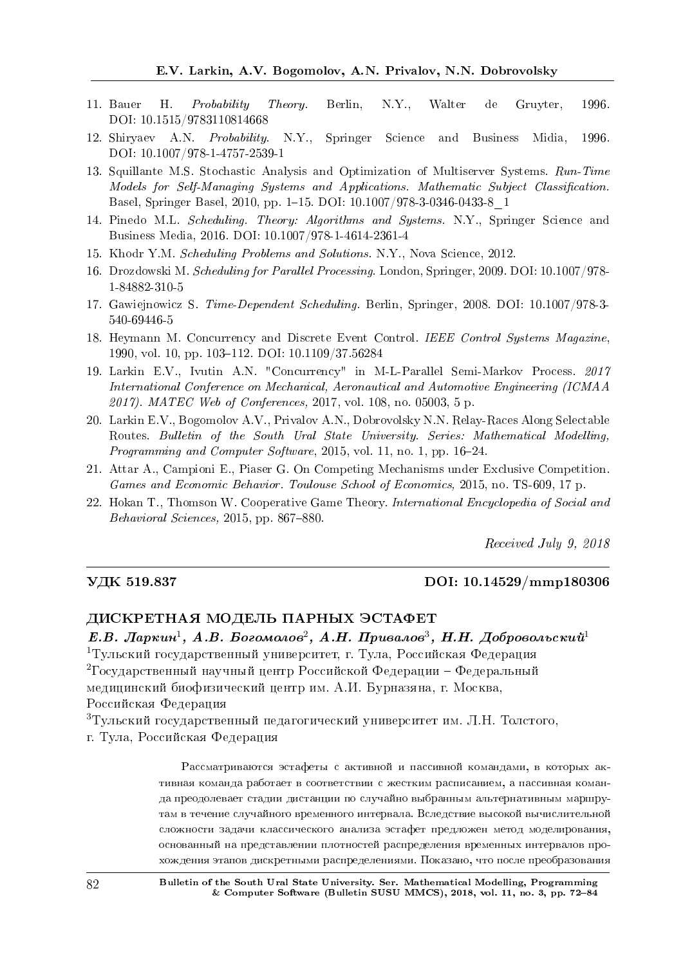- 11. Bauer H. Probability Theory. Berlin, N.Y., Walter de Gruyter, 1996. DOI: 10.1515/9783110814668
- 12. Shiryaev A.N. Probability. N.Y., Springer Science and Business Midia, 1996. DOI: 10.1007/978-1-4757-2539-1
- 13. Squillante M.S. Stochastic Analysis and Optimization of Multiserver Systems. Run-Time Models for Self-Managing Systems and Applications. Mathematic Subject Classification. Basel, Springer Basel, 2010, pp. 1–15. DOI: 10.1007/978-3-0346-0433-8\_1
- 14. Pinedo M.L. Scheduling. Theory: Algorithms and Systems. N.Y., Springer Science and Business Media, 2016. DOI: 10.1007/978-1-4614-2361-4
- 15. Khodr Y.M. Scheduling Problems and Solutions. N.Y., Nova Science, 2012.
- 16. Drozdowski M. Scheduling for Parallel Processing. London, Springer, 2009. DOI: 10.1007/978- 1-84882-310-5
- 17. Gawiejnowicz S. Time-Dependent Scheduling. Berlin, Springer, 2008. DOI: 10.1007/978-3- 540-69446-5
- 18. Heymann M. Concurrency and Discrete Event Control. IEEE Control Systems Magazine, 1990, vol. 10, pp. 103-112. DOI: 10.1109/37.56284
- 19. Larkin E.V., Ivutin A.N. "Concurrency" in M-L-Parallel Semi-Markov Process. 2017 International Conference on Mechanical, Aeronautical and Automotive Engineering (ICMAA 2017). MATEC Web of Conferences, 2017, vol. 108, no. 05003, 5 p.
- 20. Larkin E.V., Bogomolov A.V., Privalov A.N., Dobrovolsky N.N. Relay-Races Along Selectable Routes. Bulletin of the South Ural State University. Series: Mathematical Modelling, Programming and Computer Software, 2015, vol. 11, no. 1, pp. 16-24.
- 21. Attar A., Campioni E., Piaser G. On Competing Mechanisms under Exclusive Competition. Games and Economic Behavior. Toulouse School of Economics, 2015, no. TS-609, 17 p.
- 22. Hokan T., Thomson W. Cooperative Game Theory. International Encyclopedia of Social and  $Behavioral$  Sciences, 2015, pp. 867-880.

Received July 9, 2018

#### VДK 519.837 DOI: 10.14529/mmp180306

#### ДИСКРЕТНАЯ МОДЕЛЬ ПАРНЫХ ЭСТАФЕТ

Е.В. Ларкин<sup>1</sup>, А.В. Богомолов<sup>2</sup>, А.Н. Привалов<sup>3</sup>, Н.Н. Добровольский<sup>1</sup> <sup>1</sup>Тульский государственный университет, г. Тула, Российская Федерация <sup>2</sup>Государственный научный центр Российской Федерации – Федеральный медицинский биофизический центр им. А.И. Бурназяна, г. Москва, Российская Федерация

 ${}^{3}$ Тульский государственный педагогический университет им. Л.Н. Толстого,

г. Тула, Российская Федерация

Рассматриваются эстафеты с активной и пассивной командами, в которых активная команда работает в соответствии с жестким расписанием, а пассивная команаа преодолевает стадии дистанции по случайно выбранным альтернативным маршрутам в течение случайного временного интервала. Вследствие высокой вычислительной сложности задачи классического анализа эстафет предложен метод моделирования, основанный на представлении плотностей распределения временных интервалов прохождения этапов дискретными распределениями. Показано, что после преобразования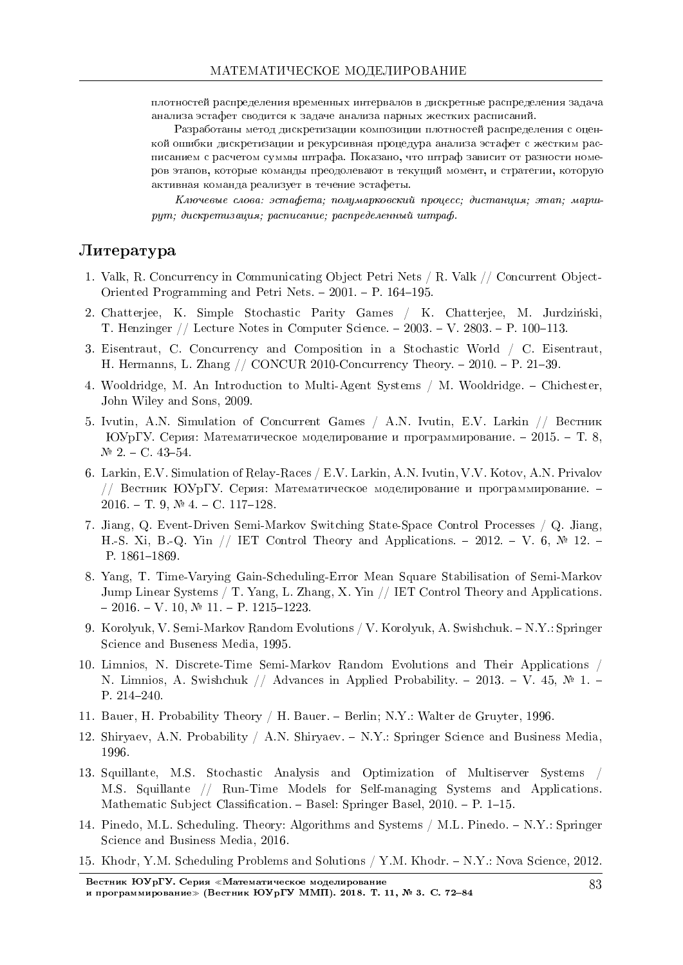плотностей распределения временных интервалов в дискретные распределения задача анализа эстафет сводится к задаче анализа парных жестких расписаний.

Разработаны метод дискретизации композиции плотностей распределения с оценкой ошибки дискретизации и рекурсивная процедура анализа эстафет с жестким расписанием с расчетом суммы штрафа. Показано, что штраф зависит от разности номеров этапов, которые команды преодолевают в текущий момент, и стратегии, которую активная команда реализует в течение эстафеты.

 $K$ лючевые слова: эстафета; полумарковский процесс; дистанция; этап; марш $p$ ит; дискретизация; расписание; распределенный штраф.

## $J$ итература

- 1. Valk, R. Concurrency in Communicating Object Petri Nets / R. Valk // Concurrent Object-Oriented Programming and Petri Nets.  $-2001$ .  $- P$ . 164–195.
- 2. Chatterjee, K. Simple Stochastic Parity Games / K. Chatterjee, M. Jurdzinski, T. Henzinger  $//$  Lecture Notes in Computer Science.  $-2003. -V. 2803. -P. 100-113.$
- 3. Eisentraut, C. Concurrency and Composition in a Stochastic World / C. Eisentraut, H. Hermanns, L. Zhang  $//$  CONCUR 2010-Concurrency Theory.  $-2010$ .  $- P. 21-39$ .
- 4. Wooldridge, M. An Introduction to Multi-Agent Systems / M. Wooldridge. Chichester, John Wiley and Sons, 2009.
- 5. Ivutin, A.N. Simulation of Concurrent Games / A.N. Ivutin, E.V. Larkin // Вестник ЮУрГУ. Серия: Математическое моделирование и программирование.  $-2015. - T. 8$ .  $N<sup>0</sup>$  2. - C. 43-54.
- 6. Larkin, E.V. Simulation of Relay-Races / E.V. Larkin, A.N. Ivutin, V.V. Kotov, A.N. Privalov // Вестник ЮУрГУ. Серия: Математическое моделирование и программирование.  $2016. - T. 9, N<sup>o</sup> 4. - C. 117-128.$
- 7. Jiang, Q. Event-Driven Semi-Markov Switching State-Space Control Processes / Q. Jiang, H.-S. Xi, B.-Q. Yin // IET Control Theory and Applications.  $-2012$ .  $- V. 6$ ,  $\mathbb{N}^2$  12. P. 1861-1869.
- 8. Yang, T. Time-Varying Gain-Scheduling-Error Mean Square Stabilisation of Semi-Markov Jump Linear Systems / T. Yang, L. Zhang, X. Yin // IET Control Theory and Applications.  $-2016. - V. 10, N$  11.  $- P. 1215-1223.$
- 9. Korolyuk, V. Semi-Markov Random Evolutions / V. Korolyuk, A. Swishchuk. N.Y.: Springer Science and Buseness Media, 1995.
- 10. Limnios, N. Discrete-Time Semi-Markov Random Evolutions and Their Applications / N. Limnios, A. Swishchuk // Advances in Applied Probability. - 2013. - V. 45,  $\mathbb{N}$  1. -P. 214-240.
- 11. Bauer, H. Probability Theory / H. Bauer. Berlin; N.Y.: Walter de Gruyter, 1996.
- 12. Shiryaev, A.N. Probability / A.N. Shiryaev.  $-N.Y.:$  Springer Science and Business Media, 1996.
- 13. Squillante, M.S. Stochastic Analysis and Optimization of Multiserver Systems / M.S. Squillante // Run-Time Models for Self-managing Systems and Applications. Mathematic Subject Classification. – Basel: Springer Basel,  $2010.$  – P. 1–15.
- 14. Pinedo, M.L. Scheduling. Theory: Algorithms and Systems / M.L. Pinedo. N.Y.: Springer Science and Business Media, 2016.
- 15. Khodr, Y.M. Scheduling Problems and Solutions / Y.M. Khodr. N.Y.: Nova Science, 2012.

Вестник ЮУрГУ. Серия «Математическое моделирование и программирование» (Вестник ЮУрГУ ММП). 2018. Т. 11, № 3. С. 72-84